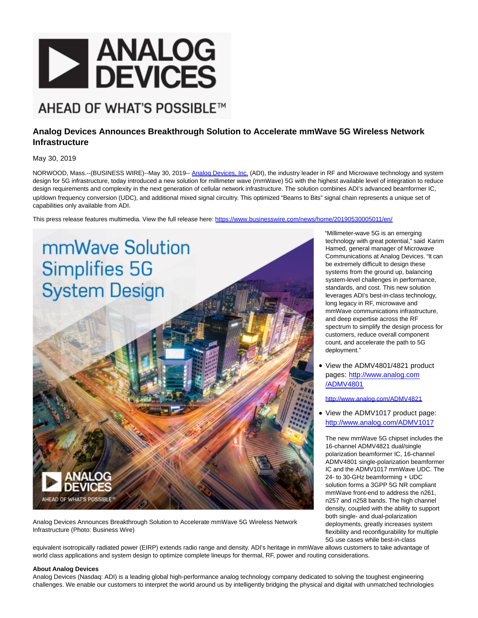

## AHEAD OF WHAT'S POSSIBLE™

## **Analog Devices Announces Breakthrough Solution to Accelerate mmWave 5G Wireless Network Infrastructure**

May 30, 2019

NORWOOD, Mass.--(BUSINESS WIRE)--May 30, 2019-- [Analog Devices, Inc. \(](https://cts.businesswire.com/ct/CT?id=smartlink&url=http%3A%2F%2Fwww.analog.com%2F%3Fadicid%3Dprls_na_P155651_ADMV4801-02&esheet=51989876&newsitemid=20190530005011&lan=en-US&anchor=Analog+Devices%2C+Inc.&index=1&md5=ca54193680d7609b055626fd8cde8343)ADI), the industry leader in RF and Microwave technology and system design for 5G infrastructure, today introduced a new solution for millimeter wave (mmWave) 5G with the highest available level of integration to reduce design requirements and complexity in the next generation of cellular network infrastructure. The solution combines ADI's advanced beamformer IC, up/down frequency conversion (UDC), and additional mixed signal circuitry. This optimized "Beams to Bits" signal chain represents a unique set of capabilities only available from ADI.

This press release features multimedia. View the full release here:<https://www.businesswire.com/news/home/20190530005011/en/>



Analog Devices Announces Breakthrough Solution to Accelerate mmWave 5G Wireless Network Infrastructure (Photo: Business Wire)

"Millimeter-wave 5G is an emerging technology with great potential," said Karim Hamed, general manager of Microwave Communications at Analog Devices. "It can be extremely difficult to design these systems from the ground up, balancing system-level challenges in performance, standards, and cost. This new solution leverages ADI's best-in-class technology, long legacy in RF, microwave and mmWave communications infrastructure, and deep expertise across the RF spectrum to simplify the design process for customers, reduce overall component count, and accelerate the path to 5G deployment."

View the ADMV4801/4821 product pages: [http://www.analog.com](https://cts.businesswire.com/ct/CT?id=smartlink&url=http%3A%2F%2Fwww.analog.com%2FADMV4801%3Fadicid%3Dprls_na_P155651&esheet=51989876&newsitemid=20190530005011&lan=en-US&anchor=http%3A%2F%2Fwww.analog.com%2FADMV4801&index=2&md5=f807dae0f815caa7cd82977b85aea3d7) /ADMV4801

[http://www.analog.com/ADMV4821](https://cts.businesswire.com/ct/CT?id=smartlink&url=http%3A%2F%2Fwww.analog.com%2FADMV4821%3Fadicid%3Dprls_na_P155651&esheet=51989876&newsitemid=20190530005011&lan=en-US&anchor=%0Ahttp%3A%2F%2Fwww.analog.com%2FADMV4821&index=3&md5=bb1ba219c7ac92d9bbd1e43545e09015)

View the ADMV1017 product page: [http://www.analog.com/ADMV1017](https://cts.businesswire.com/ct/CT?id=smartlink&url=http%3A%2F%2Fwww.analog.com%2FADMV1017%3Fadicid%3Dprls_na_P155651&esheet=51989876&newsitemid=20190530005011&lan=en-US&anchor=http%3A%2F%2Fwww.analog.com%2FADMV1017&index=4&md5=e0af709dc9c6ab41974e8a64cb67dfff)

The new mmWave 5G chipset includes the 16-channel ADMV4821 dual/single polarization beamformer IC, 16-channel ADMV4801 single-polarization beamformer IC and the ADMV1017 mmWave UDC. The 24- to 30-GHz beamforming + UDC solution forms a 3GPP 5G NR compliant mmWave front-end to address the n261, n257 and n258 bands. The high channel density, coupled with the ability to support both single- and dual-polarization deployments, greatly increases system flexibility and reconfigurability for multiple 5G use cases while best-in-class

equivalent isotropically radiated power (EIRP) extends radio range and density. ADI's heritage in mmWave allows customers to take advantage of world class applications and system design to optimize complete lineups for thermal, RF, power and routing considerations.

## **About Analog Devices**

Analog Devices (Nasdaq: ADI) is a leading global high-performance analog technology company dedicated to solving the toughest engineering challenges. We enable our customers to interpret the world around us by intelligently bridging the physical and digital with unmatched technologies